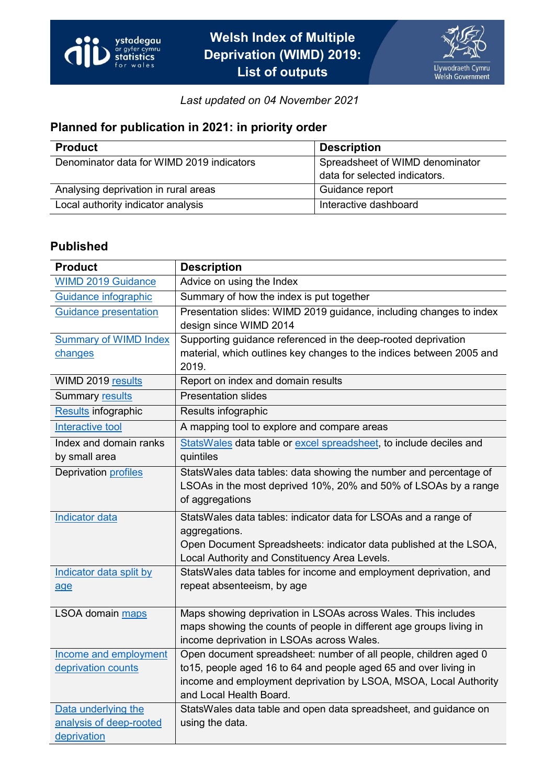

*Last updated on 04 November 2021*

## **Planned for publication in 2021: in priority order**

| <b>Product</b>                            | <b>Description</b>              |
|-------------------------------------------|---------------------------------|
| Denominator data for WIMD 2019 indicators | Spreadsheet of WIMD denominator |
|                                           | data for selected indicators.   |
| Analysing deprivation in rural areas      | Guidance report                 |
| Local authority indicator analysis        | Interactive dashboard           |

## **Published**

| <b>Product</b>               | <b>Description</b>                                                                                                 |
|------------------------------|--------------------------------------------------------------------------------------------------------------------|
| <b>WIMD 2019 Guidance</b>    | Advice on using the Index                                                                                          |
| Guidance infographic         | Summary of how the index is put together                                                                           |
| <b>Guidance presentation</b> | Presentation slides: WIMD 2019 guidance, including changes to index                                                |
|                              | design since WIMD 2014                                                                                             |
| <b>Summary of WIMD Index</b> | Supporting guidance referenced in the deep-rooted deprivation                                                      |
| changes                      | material, which outlines key changes to the indices between 2005 and                                               |
|                              | 2019.                                                                                                              |
| WIMD 2019 results            | Report on index and domain results                                                                                 |
| Summary results              | <b>Presentation slides</b>                                                                                         |
| <b>Results infographic</b>   | Results infographic                                                                                                |
| Interactive tool             | A mapping tool to explore and compare areas                                                                        |
| Index and domain ranks       | StatsWales data table or excel spreadsheet, to include deciles and                                                 |
| by small area                | quintiles                                                                                                          |
| <b>Deprivation profiles</b>  | StatsWales data tables: data showing the number and percentage of                                                  |
|                              | LSOAs in the most deprived 10%, 20% and 50% of LSOAs by a range                                                    |
|                              | of aggregations                                                                                                    |
| <b>Indicator data</b>        | StatsWales data tables: indicator data for LSOAs and a range of                                                    |
|                              | aggregations.                                                                                                      |
|                              | Open Document Spreadsheets: indicator data published at the LSOA,<br>Local Authority and Constituency Area Levels. |
| Indicator data split by      | StatsWales data tables for income and employment deprivation, and                                                  |
| age                          | repeat absenteeism, by age                                                                                         |
|                              |                                                                                                                    |
| LSOA domain maps             | Maps showing deprivation in LSOAs across Wales. This includes                                                      |
|                              | maps showing the counts of people in different age groups living in                                                |
|                              | income deprivation in LSOAs across Wales.                                                                          |
| Income and employment        | Open document spreadsheet: number of all people, children aged 0                                                   |
| deprivation counts           | to15, people aged 16 to 64 and people aged 65 and over living in                                                   |
|                              | income and employment deprivation by LSOA, MSOA, Local Authority                                                   |
|                              | and Local Health Board.                                                                                            |
| Data underlying the          | StatsWales data table and open data spreadsheet, and guidance on                                                   |
| analysis of deep-rooted      | using the data.                                                                                                    |
| deprivation                  |                                                                                                                    |